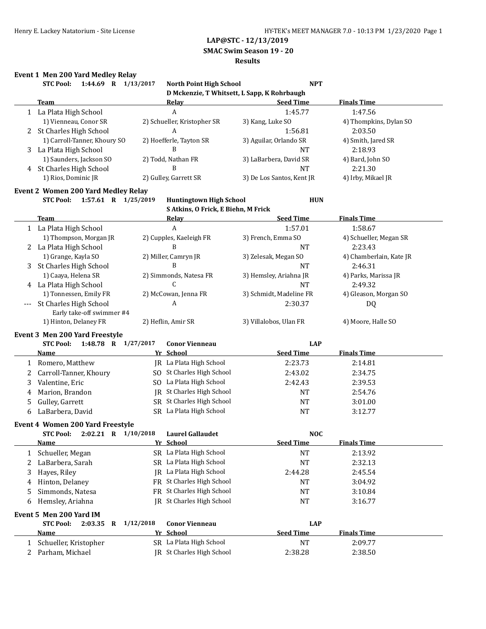## **SMAC Swim Season 19 - 20**

#### **Results**

|  | <b>Event 1 Men 200 Yard Medley Relay</b> |  |  |  |
|--|------------------------------------------|--|--|--|
|--|------------------------------------------|--|--|--|

|   | 1:44.69 R 1/13/2017<br><b>STC Pool:</b>                    |           | North Point High School             | <b>NPT</b>                                  |                         |
|---|------------------------------------------------------------|-----------|-------------------------------------|---------------------------------------------|-------------------------|
|   |                                                            |           |                                     | D Mckenzie, T Whitsett, L Sapp, K Rohrbaugh |                         |
|   | <b>Team</b>                                                |           | Relay                               | <b>Seed Time</b>                            | <b>Finals Time</b>      |
|   | 1 La Plata High School                                     |           | A                                   | 1:45.77                                     | 1:47.56                 |
|   | 1) Vienneau, Conor SR                                      |           | 2) Schueller, Kristopher SR         | 3) Kang, Luke SO                            | 4) Thompkins, Dylan SO  |
|   | 2 St Charles High School                                   |           | А                                   | 1:56.81                                     | 2:03.50                 |
|   | 1) Carroll-Tanner, Khoury SO                               |           | 2) Hoefferle, Tayton SR             | 3) Aguilar, Orlando SR                      | 4) Smith, Jared SR      |
|   | 3 La Plata High School                                     |           | B                                   | <b>NT</b>                                   | 2:18.93                 |
|   | 1) Saunders, Jackson SO                                    |           | 2) Todd, Nathan FR                  | 3) LaBarbera, David SR                      | 4) Bard, John SO        |
|   | 4 St Charles High School                                   |           | B                                   | <b>NT</b>                                   | 2:21.30                 |
|   | 1) Rios, Dominic JR                                        |           | 2) Gulley, Garrett SR               | 3) De Los Santos, Kent JR                   | 4) Irby, Mikael JR      |
|   | <b>Event 2 Women 200 Yard Medley Relay</b>                 |           |                                     |                                             |                         |
|   | 1:57.61 R 1/25/2019<br><b>STC Pool:</b>                    |           | <b>Huntingtown High School</b>      | <b>HUN</b>                                  |                         |
|   |                                                            |           | S Atkins, O Frick, E Biehn, M Frick |                                             |                         |
|   | <b>Team</b>                                                |           | <b>Relay</b>                        | <b>Seed Time</b>                            | <b>Finals Time</b>      |
|   | 1 La Plata High School                                     |           | A                                   | 1:57.01                                     | 1:58.67                 |
|   | 1) Thompson, Morgan JR                                     |           | 2) Cupples, Kaeleigh FR             | 3) French, Emma SO                          | 4) Schueller, Megan SR  |
|   | 2 La Plata High School                                     |           | B                                   | <b>NT</b>                                   | 2:23.43                 |
|   | 1) Grange, Kayla SO                                        |           | 2) Miller, Camryn JR                | 3) Zelesak, Megan SO                        | 4) Chamberlain, Kate JR |
| 3 | St Charles High School                                     |           | B                                   | <b>NT</b>                                   | 2:46.31                 |
|   | 1) Caaya, Helena SR                                        |           | 2) Simmonds, Natesa FR              | 3) Hemsley, Ariahna JR                      | 4) Parks, Marissa JR    |
|   | 4 La Plata High School                                     |           | C                                   | <b>NT</b>                                   | 2:49.32                 |
|   | 1) Tonnessen, Emily FR                                     |           | 2) McCowan, Jenna FR                | 3) Schmidt, Madeline FR                     | 4) Gleason, Morgan SO   |
|   |                                                            |           |                                     |                                             |                         |
|   | <b>St Charles High School</b><br>Early take-off swimmer #4 |           | A                                   | 2:30.37                                     | DQ                      |
|   | 1) Hinton, Delaney FR                                      |           | 2) Heflin, Amir SR                  | 3) Villalobos, Ulan FR                      | 4) Moore, Halle SO      |
|   |                                                            |           |                                     |                                             |                         |
|   | Event 3 Men 200 Yard Freestyle                             |           |                                     |                                             |                         |
|   | 1:48.78 R 1/27/2017<br><b>STC Pool:</b>                    |           | <b>Conor Vienneau</b>               | <b>LAP</b>                                  |                         |
|   | Name                                                       |           | Yr School                           | <b>Seed Time</b>                            | <b>Finals Time</b>      |
| 1 | Romero, Matthew                                            |           | JR La Plata High School             | 2:23.73                                     | 2:14.81                 |
| 2 | Carroll-Tanner, Khoury                                     |           | SO St Charles High School           | 2:43.02                                     | 2:34.75                 |
| 3 | Valentine, Eric                                            |           | SO La Plata High School             | 2:42.43                                     | 2:39.53                 |
| 4 | Marion, Brandon                                            |           | JR St Charles High School           | NT                                          | 2:54.76                 |
| 5 | Gulley, Garrett                                            |           | SR St Charles High School           | <b>NT</b>                                   | 3:01.00                 |
| 6 | LaBarbera, David                                           |           | SR La Plata High School             | <b>NT</b>                                   | 3:12.77                 |
|   | Event 4 Women 200 Yard Freestyle                           |           |                                     |                                             |                         |
|   | <b>STC Pool:</b><br>2:02.21 R 1/10/2018                    |           | <b>Laurel Gallaudet</b>             | <b>NOC</b>                                  |                         |
|   | <b>Name</b>                                                |           | Yr School                           | <b>Seed Time</b>                            | <b>Finals Time</b>      |
| 1 | Schueller, Megan                                           |           | SR La Plata High School             | <b>NT</b>                                   | 2:13.92                 |
| 2 | LaBarbera, Sarah                                           |           | SR La Plata High School             | <b>NT</b>                                   | 2:32.13                 |
| 3 | Hayes, Riley                                               | IR        | La Plata High School                | 2:44.28                                     | 2:45.54                 |
| 4 | Hinton, Delaney                                            |           | FR St Charles High School           | NT                                          | 3:04.92                 |
|   | Simmonds, Natesa                                           | FR        | St Charles High School              | <b>NT</b>                                   | 3:10.84                 |
| 5 |                                                            |           | JR St Charles High School           |                                             |                         |
| 6 | Hemsley, Ariahna                                           |           |                                     | <b>NT</b>                                   | 3:16.77                 |
|   | Event 5 Men 200 Yard IM                                    |           |                                     |                                             |                         |
|   | <b>STC Pool:</b><br>2:03.35<br>$\mathbf{R}$                | 1/12/2018 | <b>Conor Vienneau</b>               | <b>LAP</b>                                  |                         |
|   | <u>Name</u>                                                |           | Yr School                           | <b>Seed Time</b>                            | <b>Finals Time</b>      |
| 1 | Schueller, Kristopher                                      |           | SR La Plata High School             | NT                                          | 2:09.77                 |
| 2 | Parham, Michael                                            |           | JR St Charles High School           | 2:38.28                                     | 2:38.50                 |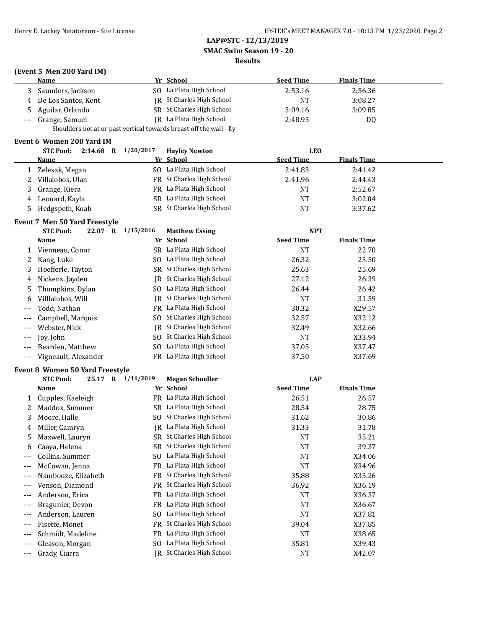### **SMAC Swim Season 19 - 20**

#### **Results**

## **(Event 5 Men 200 Yard IM)**

|   | Name                                                                | Yr School                 | <b>Seed Time</b> | <b>Finals Time</b> |  |
|---|---------------------------------------------------------------------|---------------------------|------------------|--------------------|--|
|   | Saunders, Jackson                                                   | SO La Plata High School   | 2:53.16          | 2:56.36            |  |
|   | 4 De Los Santos, Kent                                               | IR St Charles High School | NT               | 3:08.27            |  |
| 5 | Aguilar, Orlando                                                    | SR St Charles High School | 3:09.16          | 3:09.85            |  |
|   | --- Grange, Samuel                                                  | JR La Plata High School   | 2:48.95          | D0                 |  |
|   | Shoulders not at or past vertical towards breast off the wall - fly |                           |                  |                    |  |

#### **Event 6 Women 200 Yard IM**

|    | 2:14.68 R $1/20/2017$<br><b>STC Pool:</b> | <b>Havley Newton</b>      | LEO              |                    |  |
|----|-------------------------------------------|---------------------------|------------------|--------------------|--|
|    | Name                                      | Yr School                 | <b>Seed Time</b> | <b>Finals Time</b> |  |
|    | Zelesak, Megan                            | SO La Plata High School   | 2:41.83          | 2:41.42            |  |
|    | Villalobos, Ulan                          | FR St Charles High School | 2:41.96          | 2:44.43            |  |
|    | Grange, Kiera                             | FR La Plata High School   | NT               | 2:52.67            |  |
| 4  | Leonard, Kayla                            | SR La Plata High School   | NT               | 3:02.04            |  |
| 5. | Hedgspeth, Koah                           | SR St Charles High School | NΤ               | 3:37.62            |  |

#### **Event 7 Men 50 Yard Freestyle**

|       | <b>STC Pool:</b><br>22.07<br>R | 1/15/2016 | <b>Matthew Essing</b>     | <b>NPT</b>       |                    |  |
|-------|--------------------------------|-----------|---------------------------|------------------|--------------------|--|
|       | Name                           |           | Yr School                 | <b>Seed Time</b> | <b>Finals Time</b> |  |
|       | Vienneau, Conor                |           | SR La Plata High School   | <b>NT</b>        | 22.70              |  |
|       | Kang, Luke                     |           | SO La Plata High School   | 26.32            | 25.50              |  |
| 3     | Hoefferle, Tayton              |           | SR St Charles High School | 25.63            | 25.69              |  |
| 4     | Nickens, Jayden                |           | IR St Charles High School | 27.12            | 26.39              |  |
|       | 5 Thompkins, Dylan             |           | SO La Plata High School   | 26.44            | 26.42              |  |
| 6     | Villlalobos, Will              |           | IR St Charles High School | NT               | 31.59              |  |
| $---$ | Todd, Nathan                   |           | FR La Plata High School   | 30.32            | X29.57             |  |
| $---$ | Campbell, Marquis              |           | SO St Charles High School | 32.57            | X32.12             |  |
| $---$ | Webster, Nick                  | IR        | St Charles High School    | 32.49            | X32.66             |  |
| $---$ | Jov. John                      |           | SO St Charles High School | <b>NT</b>        | X33.94             |  |
|       | Bearden, Matthew               | SO.       | La Plata High School      | 37.05            | X37.47             |  |
|       | Vigneault, Alexander           |           | FR La Plata High School   | 37.50            | X37.69             |  |

# **Event 8 Women 50 Yard Freestyle**

|       | LVENCO WONIEN JO TATU FICESIVIE |                   |                           |                  |                    |
|-------|---------------------------------|-------------------|---------------------------|------------------|--------------------|
|       | <b>STC Pool:</b>                | 25.17 R 1/11/2019 | <b>Megan Schueller</b>    | <b>LAP</b>       |                    |
|       | Name                            |                   | Yr School                 | <b>Seed Time</b> | <b>Finals Time</b> |
|       | Cupples, Kaeleigh               | FR.               | La Plata High School      | 26.51            | 26.57              |
|       | Maddox, Summer                  | SR                | La Plata High School      | 28.54            | 28.75              |
| 3     | Moore, Halle                    | SO.               | St Charles High School    | 31.62            | 30.86              |
| 4     | Miller, Camryn                  | IR                | La Plata High School      | 31.33            | 31.78              |
| 5     | Maxwell, Lauryn                 | SR                | St Charles High School    | <b>NT</b>        | 35.21              |
| 6     | Caaya, Helena                   | SR                | St Charles High School    | NT               | 39.37              |
| ---   | Collins, Summer                 | SO.               | La Plata High School      | NT               | X34.06             |
| $---$ | McCowan, Jenna                  | FR.               | La Plata High School      | <b>NT</b>        | X34.96             |
| $--$  | Nambooze, Elizabeth             | FR                | St Charles High School    | 35.88            | X35.26             |
| $---$ | Venson, Diamond                 | FR                | St Charles High School    | 36.92            | X36.19             |
| $---$ | Anderson, Erica                 | FR                | La Plata High School      | NT               | X36.37             |
| $---$ | Bragunier, Devon                | FR                | La Plata High School      | NT               | X36.67             |
| $---$ | Anderson, Lauren                | SO.               | La Plata High School      | NT               | X37.81             |
| $---$ | Fisette, Monet                  | FR                | St Charles High School    | 39.04            | X37.85             |
| $---$ | Schmidt, Madeline               | FR                | La Plata High School      | <b>NT</b>        | X38.65             |
| $---$ | Gleason, Morgan                 | SO.               | La Plata High School      | 35.81            | X39.43             |
| $---$ | Grady, Ciarra                   |                   | JR St Charles High School | NT               | X42.07             |
|       |                                 |                   |                           |                  |                    |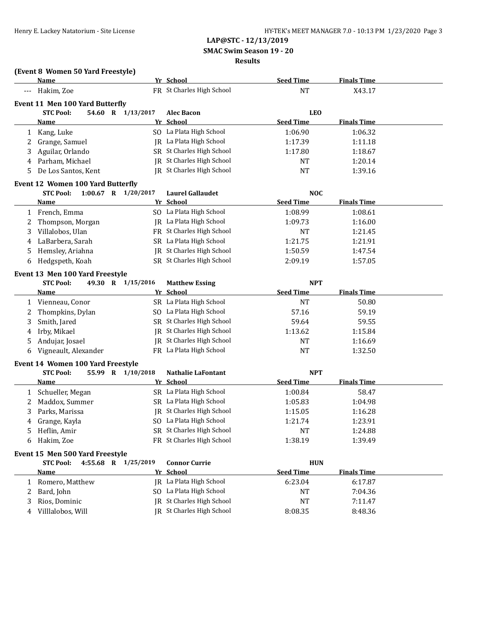**SMAC Swim Season 19 - 20**

#### **Results**

## **(Event 8 Women 50 Yard Freestyle)**

|   | Name                                    |    | Yr School                        | <b>Seed Time</b> | <b>Finals Time</b> |  |
|---|-----------------------------------------|----|----------------------------------|------------------|--------------------|--|
|   | Hakim, Zoe                              |    | FR St Charles High School        | <b>NT</b>        | X43.17             |  |
|   | <b>Event 11 Men 100 Yard Butterfly</b>  |    |                                  |                  |                    |  |
|   | <b>STC Pool:</b><br>54.60 R 1/13/2017   |    | <b>Alec Bacon</b>                | <b>LEO</b>       |                    |  |
|   | Name                                    |    | Yr School                        | <b>Seed Time</b> | <b>Finals Time</b> |  |
|   | 1 Kang, Luke                            |    | SO La Plata High School          | 1:06.90          | 1:06.32            |  |
| 2 | Grange, Samuel                          |    | JR La Plata High School          | 1:17.39          | 1:11.18            |  |
| 3 | Aguilar, Orlando                        |    | SR St Charles High School        | 1:17.80          | 1:18.67            |  |
| 4 | Parham, Michael                         |    | JR St Charles High School        | <b>NT</b>        | 1:20.14            |  |
| 5 | De Los Santos, Kent                     |    | <b>IR</b> St Charles High School | <b>NT</b>        | 1:39.16            |  |
|   | Event 12 Women 100 Yard Butterfly       |    |                                  |                  |                    |  |
|   | 1:00.67 R 1/20/2017<br><b>STC Pool:</b> |    | <b>Laurel Gallaudet</b>          | <b>NOC</b>       |                    |  |
|   | <b>Name</b>                             |    | Yr School                        | <b>Seed Time</b> | <b>Finals Time</b> |  |
| 1 | French, Emma                            |    | SO La Plata High School          | 1:08.99          | 1:08.61            |  |
| 2 | Thompson, Morgan                        |    | JR La Plata High School          | 1:09.73          | 1:16.00            |  |
| 3 | Villalobos, Ulan                        |    | FR St Charles High School        | <b>NT</b>        | 1:21.45            |  |
| 4 | LaBarbera, Sarah                        |    | SR La Plata High School          | 1:21.75          | 1:21.91            |  |
| 5 | Hemsley, Ariahna                        | IR | St Charles High School           | 1:50.59          | 1:47.54            |  |
| 6 | Hedgspeth, Koah                         |    | SR St Charles High School        | 2:09.19          | 1:57.05            |  |
|   | Event 13 Men 100 Yard Freestyle         |    |                                  |                  |                    |  |
|   | <b>STC Pool:</b><br>49.30 R 1/15/2016   |    | <b>Matthew Essing</b>            | <b>NPT</b>       |                    |  |
|   | Name                                    |    | Yr School                        | <b>Seed Time</b> | <b>Finals Time</b> |  |
|   | 1 Vienneau, Conor                       |    | SR La Plata High School          | <b>NT</b>        | 50.80              |  |
| 2 | Thompkins, Dylan                        |    | SO La Plata High School          | 57.16            | 59.19              |  |
| 3 | Smith, Jared                            |    | SR St Charles High School        | 59.64            | 59.55              |  |
| 4 | Irby, Mikael                            |    | JR St Charles High School        | 1:13.62          | 1:15.84            |  |
|   | Andujar, Josael                         |    | JR St Charles High School        | <b>NT</b>        | 1:16.69            |  |
| 6 | Vigneault, Alexander                    |    | FR La Plata High School          | <b>NT</b>        | 1:32.50            |  |
|   | Event 14 Women 100 Yard Freestyle       |    |                                  |                  |                    |  |
|   | <b>STC Pool:</b><br>55.99 R 1/10/2018   |    | <b>Nathalie LaFontant</b>        | <b>NPT</b>       |                    |  |
|   | Name                                    |    | Yr School                        | <b>Seed Time</b> | <b>Finals Time</b> |  |
|   | 1 Schueller, Megan                      |    | SR La Plata High School          | 1:00.84          | 58.47              |  |
| 2 | Maddox, Summer                          |    | SR La Plata High School          | 1:05.83          | 1:04.98            |  |
| 3 | Parks, Marissa                          |    | <b>IR</b> St Charles High School | 1:15.05          | 1:16.28            |  |
| 4 | Grange, Kayla                           |    | SO La Plata High School          | 1:21.74          | 1:23.91            |  |
| 5 | Heflin, Amir                            |    | SR St Charles High School        | <b>NT</b>        | 1:24.88            |  |
|   | 6 Hakim, Zoe                            |    | FR St Charles High School        | 1:38.19          | 1:39.49            |  |
|   | Event 15 Men 500 Yard Freestyle         |    |                                  |                  |                    |  |
|   | 4:55.68 R 1/25/2019<br><b>STC Pool:</b> |    | <b>Connor Currie</b>             | <b>HUN</b>       |                    |  |
|   | Name                                    |    | Yr School                        | <b>Seed Time</b> | <b>Finals Time</b> |  |
| 1 | Romero, Matthew                         |    | JR La Plata High School          | 6:23.04          | 6:17.87            |  |
| 2 | Bard, John                              |    | SO La Plata High School          | NT               | 7:04.36            |  |
| 3 | Rios, Dominic                           |    | JR St Charles High School        | NT               | 7:11.47            |  |
| 4 | Villlalobos, Will                       |    | IR St Charles High School        | 8:08.35          | 8:48.36            |  |
|   |                                         |    |                                  |                  |                    |  |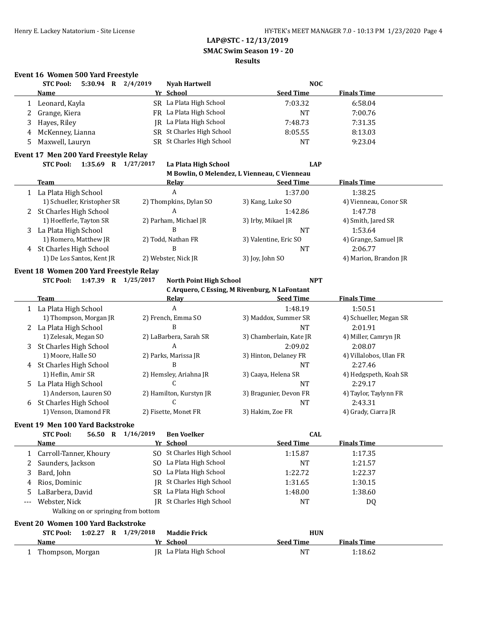### **LAP@STC - 12/13/2019 SMAC Swim Season 19 - 20**

#### **Results**

### **Event 16 Women 500 Yard Freestyle**

|    | 5:30.94<br><b>STC Pool:</b><br>$\bf{R}$ | 2/4/2019<br><b>Nyah Hartwell</b> |                           | <b>NOC</b>       |                    |
|----|-----------------------------------------|----------------------------------|---------------------------|------------------|--------------------|
|    | <b>Name</b>                             | Yr School                        |                           | <b>Seed Time</b> | <b>Finals Time</b> |
|    | Leonard, Kayla                          | SR La Plata High School          |                           | 7:03.32          | 6:58.04            |
|    | Grange, Kiera                           | FR La Plata High School          |                           | <b>NT</b>        | 7:00.76            |
| 3. | Hayes, Riley                            | IR La Plata High School          |                           | 7:48.73          | 7:31.35            |
| 4  | McKenney, Lianna                        |                                  | SR St Charles High School | 8:05.55          | 8:13.03            |
| 5. | Maxwell, Lauryn                         |                                  | SR St Charles High School | <b>NT</b>        | 9:23.04            |

#### **Event 17 Men 200 Yard Freestyle Relay STC Pool: 1:35.69 R 1/27/2017 La Plata High School LAP**

|   | M Bowlin, O Melendez, L Vienneau, C Vienneau |                        |                       |                       |  |  |  |  |  |  |
|---|----------------------------------------------|------------------------|-----------------------|-----------------------|--|--|--|--|--|--|
|   | Team                                         | Relav                  | <b>Seed Time</b>      | <b>Finals Time</b>    |  |  |  |  |  |  |
|   | La Plata High School                         | A                      | 1:37.00               | 1:38.25               |  |  |  |  |  |  |
|   | 1) Schueller, Kristopher SR                  | 2) Thompkins, Dylan SO | 3) Kang, Luke SO      | 4) Vienneau, Conor SR |  |  |  |  |  |  |
| 2 | St Charles High School                       | A                      | 1:42.86               | 1:47.78               |  |  |  |  |  |  |
|   | 1) Hoefferle, Tayton SR                      | 2) Parham, Michael JR  | 3) Irby, Mikael JR    | 4) Smith, Jared SR    |  |  |  |  |  |  |
| 3 | La Plata High School                         | В                      | NT                    | 1:53.64               |  |  |  |  |  |  |
|   | 1) Romero, Matthew JR                        | 2) Todd, Nathan FR     | 3) Valentine, Eric SO | 4) Grange, Samuel JR  |  |  |  |  |  |  |
| 4 | St Charles High School                       | B                      | NT                    | 2:06.77               |  |  |  |  |  |  |
|   | 1) De Los Santos, Kent JR                    | 2) Webster, Nick JR    | 3) Joy, John SO       | 4) Marion, Brandon JR |  |  |  |  |  |  |

#### **Event 18 Women 200 Yard Freestyle Relay**

 $\overline{a}$ 

**STC Pool: 1:47.39 R 1/25/2017 North Point High School NPT**

|    | C Arquero, C Essing, M Rivenburg, N LaFontant |                         |                         |                        |  |  |  |  |  |
|----|-----------------------------------------------|-------------------------|-------------------------|------------------------|--|--|--|--|--|
|    | Team                                          | Relav                   | <b>Seed Time</b>        | <b>Finals Time</b>     |  |  |  |  |  |
|    | 1 La Plata High School                        | A                       | 1:48.19                 | 1:50.51                |  |  |  |  |  |
|    | 1) Thompson, Morgan JR                        | 2) French, Emma SO      | 3) Maddox, Summer SR    | 4) Schueller, Megan SR |  |  |  |  |  |
|    | 2 La Plata High School                        | B                       | NT                      | 2:01.91                |  |  |  |  |  |
|    | 1) Zelesak, Megan SO                          | 2) LaBarbera, Sarah SR  | 3) Chamberlain, Kate JR | 4) Miller, Camryn JR   |  |  |  |  |  |
| 3  | St Charles High School                        | A                       | 2:09.02                 | 2:08.07                |  |  |  |  |  |
|    | 1) Moore, Halle SO                            | 2) Parks, Marissa JR    | 3) Hinton, Delaney FR   | 4) Villalobos, Ulan FR |  |  |  |  |  |
| 4  | St Charles High School                        | В                       | <b>NT</b>               | 2:27.46                |  |  |  |  |  |
|    | 1) Heflin, Amir SR                            | 2) Hemsley, Ariahna JR  | 3) Caaya, Helena SR     | 4) Hedgspeth, Koah SR  |  |  |  |  |  |
| 5. | La Plata High School                          |                         | <b>NT</b>               | 2:29.17                |  |  |  |  |  |
|    | 1) Anderson, Lauren SO                        | 2) Hamilton, Kurstyn JR | 3) Bragunier, Devon FR  | 4) Taylor, Taylynn FR  |  |  |  |  |  |
| 6  | St Charles High School                        | U                       | NT                      | 2:43.31                |  |  |  |  |  |
|    | 1) Venson, Diamond FR                         | 2) Fisette, Monet FR    | 3) Hakim, Zoe FR        | 4) Grady, Ciarra JR    |  |  |  |  |  |

## **Event 19 Men 100 Yard Backstroke**

|                                    | <b>STC Pool:</b><br>56.50           | R | 1/16/2019 | <b>Ben Voelker</b>      | <b>CAL</b>       |                    |  |  |
|------------------------------------|-------------------------------------|---|-----------|-------------------------|------------------|--------------------|--|--|
|                                    | <b>Name</b>                         |   |           | Yr School               | <b>Seed Time</b> | <b>Finals Time</b> |  |  |
|                                    | 1 Carroll-Tanner, Khoury            |   | SO.       | St Charles High School  | 1:15.87          | 1:17.35            |  |  |
|                                    | Saunders, Jackson                   |   | SO.       | La Plata High School    | <b>NT</b>        | 1:21.57            |  |  |
| 3                                  | Bard, John                          |   |           | SO La Plata High School | 1:22.72          | 1:22.37            |  |  |
| 4                                  | Rios, Dominic                       |   | IR        | St Charles High School  | 1:31.65          | 1:30.15            |  |  |
| 5.                                 | LaBarbera, David                    |   |           | SR La Plata High School | 1:48.00          | 1:38.60            |  |  |
| $---$                              | Webster, Nick                       |   | IR        | St Charles High School  | <b>NT</b>        | DQ                 |  |  |
|                                    | Walking on or springing from bottom |   |           |                         |                  |                    |  |  |
| Event 20 Women 100 Yard Backstroke |                                     |   |           |                         |                  |                    |  |  |
|                                    | <b>STC Pool:</b><br>1:02.27         | R | 1/29/2018 | <b>Maddie Frick</b>     | <b>HUN</b>       |                    |  |  |
|                                    | <b>Name</b>                         |   |           | Yr School               | <b>Seed Time</b> | <b>Finals Time</b> |  |  |
|                                    | Thompson, Morgan                    |   |           | IR La Plata High School | NT               | 1:18.62            |  |  |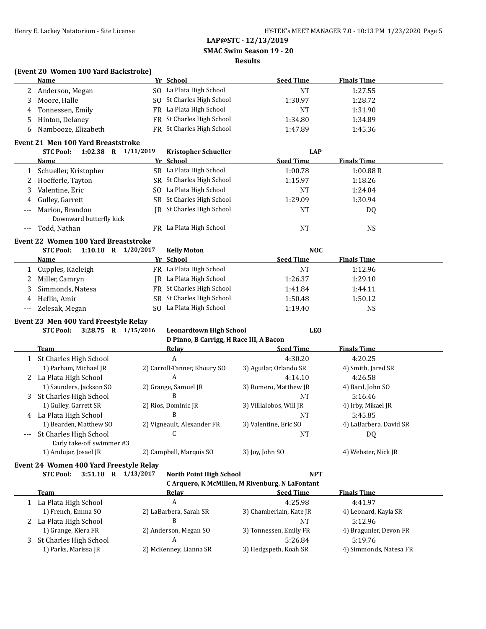**SMAC Swim Season 19 - 20**

# **Results**

| (Event 20 Women 100 Yard Backstroke) |           |
|--------------------------------------|-----------|
| Name                                 | Yr School |

|     | <u>Name</u>                                                                             |  | Yr School                               | <b>Seed Time</b>                                | <b>Finals Time</b>     |  |
|-----|-----------------------------------------------------------------------------------------|--|-----------------------------------------|-------------------------------------------------|------------------------|--|
| 2   | Anderson, Megan                                                                         |  | SO La Plata High School                 | <b>NT</b>                                       | 1:27.55                |  |
| 3   | Moore, Halle                                                                            |  | SO St Charles High School               | 1:30.97                                         | 1:28.72                |  |
| 4   | Tonnessen, Emily                                                                        |  | FR La Plata High School                 | <b>NT</b>                                       | 1:31.90                |  |
| 5   | Hinton, Delaney                                                                         |  | FR St Charles High School               | 1:34.80                                         | 1:34.89                |  |
| 6   | Nambooze, Elizabeth                                                                     |  | FR St Charles High School               | 1:47.89                                         | 1:45.36                |  |
|     |                                                                                         |  |                                         |                                                 |                        |  |
|     | <b>Event 21 Men 100 Yard Breaststroke</b>                                               |  |                                         |                                                 |                        |  |
|     | <b>STC Pool:</b><br>1:02.38 R 1/11/2019                                                 |  | <b>Kristopher Schueller</b>             | <b>LAP</b>                                      |                        |  |
|     | Name                                                                                    |  | Yr School                               | <b>Seed Time</b>                                | <b>Finals Time</b>     |  |
| 1   | Schueller, Kristopher                                                                   |  | SR La Plata High School                 | 1:00.78                                         | 1:00.88R               |  |
| 2   | Hoefferle, Tayton                                                                       |  | SR St Charles High School               | 1:15.97                                         | 1:18.26                |  |
| 3   | Valentine, Eric                                                                         |  | SO La Plata High School                 | NT                                              | 1:24.04                |  |
| 4   | Gulley, Garrett                                                                         |  | SR St Charles High School               | 1:29.09                                         | 1:30.94                |  |
| --- | Marion, Brandon<br>Downward butterfly kick                                              |  | <b>IR</b> St Charles High School        | <b>NT</b>                                       | DQ                     |  |
|     | Todd, Nathan                                                                            |  | FR La Plata High School                 | <b>NT</b>                                       | <b>NS</b>              |  |
|     | Event 22 Women 100 Yard Breaststroke                                                    |  |                                         |                                                 |                        |  |
|     | <b>STC Pool:</b><br>1:10.18 R $1/20/2017$                                               |  | <b>Kelly Moton</b>                      | <b>NOC</b>                                      |                        |  |
|     | <u>Name</u>                                                                             |  | Yr School                               | <b>Seed Time</b>                                | <b>Finals Time</b>     |  |
| 1   | Cupples, Kaeleigh                                                                       |  | FR La Plata High School                 | <b>NT</b>                                       | 1:12.96                |  |
| 2   | Miller, Camryn                                                                          |  | <b>IR</b> La Plata High School          | 1:26.37                                         | 1:29.10                |  |
| 3   | Simmonds, Natesa                                                                        |  | FR St Charles High School               | 1:41.84                                         | 1:44.11                |  |
|     | Heflin, Amir                                                                            |  | SR St Charles High School               | 1:50.48                                         | 1:50.12                |  |
| 4   |                                                                                         |  | SO La Plata High School                 |                                                 |                        |  |
| --- | Zelesak, Megan                                                                          |  |                                         | 1:19.40                                         | <b>NS</b>              |  |
|     | Event 23 Men 400 Yard Freestyle Relay                                                   |  |                                         |                                                 |                        |  |
|     | <b>STC Pool:</b><br>3:28.75 R 1/15/2016<br><b>Leonardtown High School</b><br><b>LEO</b> |  |                                         |                                                 |                        |  |
|     |                                                                                         |  | D Pinno, B Carrigg, H Race III, A Bacon |                                                 |                        |  |
|     | <b>Team</b>                                                                             |  | Relay                                   | <b>Seed Time</b>                                | <b>Finals Time</b>     |  |
|     | 1 St Charles High School                                                                |  | A                                       | 4:30.20                                         | 4:20.25                |  |
|     | 1) Parham, Michael JR                                                                   |  | 2) Carroll-Tanner, Khoury SO            | 3) Aguilar, Orlando SR                          | 4) Smith, Jared SR     |  |
| 2   | La Plata High School                                                                    |  | A                                       | 4:14.10                                         | 4:26.58                |  |
|     | 1) Saunders, Jackson SO                                                                 |  | 2) Grange, Samuel JR                    | 3) Romero, Matthew JR                           | 4) Bard, John SO       |  |
| 3   | St Charles High School                                                                  |  | B                                       | <b>NT</b>                                       | 5:16.46                |  |
|     | 1) Gulley, Garrett SR                                                                   |  | 2) Rios, Dominic JR                     | 3) Villlalobos, Will JR                         | 4) Irby, Mikael JR     |  |
| 4   | La Plata High School                                                                    |  | B                                       | <b>NT</b>                                       | 5:45.85                |  |
|     | 1) Bearden, Matthew SO                                                                  |  | 2) Vigneault, Alexander FR              | 3) Valentine, Eric SO                           | 4) LaBarbera, David SR |  |
|     | St Charles High School<br>Early take-off swimmer #3                                     |  | C                                       | <b>NT</b>                                       | DQ                     |  |
|     | 1) Andujar, Josael JR                                                                   |  | 2) Campbell, Marquis SO                 | 3) Joy, John SO                                 | 4) Webster, Nick JR    |  |
|     | Event 24 Women 400 Yard Freestyle Relay                                                 |  |                                         |                                                 |                        |  |
|     | <b>STC Pool:</b><br>3:51.18 R 1/13/2017                                                 |  | <b>North Point High School</b>          | <b>NPT</b>                                      |                        |  |
|     |                                                                                         |  |                                         | C Arquero, K McMillen, M Rivenburg, N LaFontant |                        |  |
|     | <b>Team</b>                                                                             |  | Relay                                   | <b>Seed Time</b>                                | <b>Finals Time</b>     |  |
|     | 1 La Plata High School                                                                  |  | A                                       | 4:25.98                                         | 4:41.97                |  |
|     | 1) French, Emma SO                                                                      |  | 2) LaBarbera, Sarah SR                  | 3) Chamberlain, Kate JR                         | 4) Leonard, Kayla SR   |  |
|     | 2 La Plata High School                                                                  |  | B                                       | <b>NT</b>                                       | 5:12.96                |  |
|     | 1) Grange, Kiera FR                                                                     |  | 2) Anderson, Megan SO                   | 3) Tonnessen, Emily FR                          | 4) Bragunier, Devon FR |  |
| 3   | St Charles High School                                                                  |  | A                                       | 5:26.84                                         | 5:19.76                |  |
|     | 1) Parks, Marissa JR                                                                    |  | 2) McKenney, Lianna SR                  | 3) Hedgspeth, Koah SR                           | 4) Simmonds, Natesa FR |  |
|     |                                                                                         |  |                                         |                                                 |                        |  |